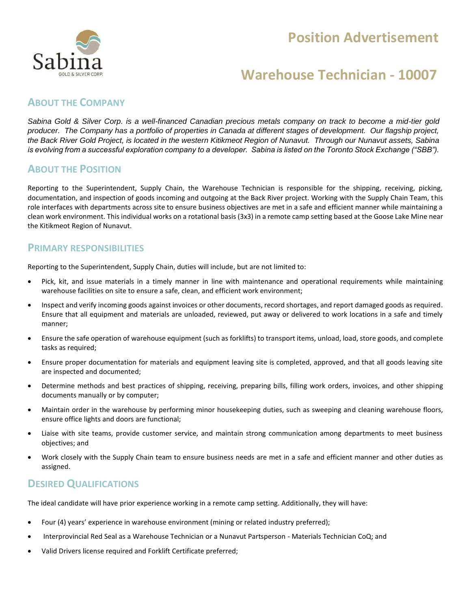## **Position Advertisement**



## **Warehouse Technician - 10007**

### **ABOUT THE COMPANY**

*Sabina Gold & Silver Corp. is a well-financed Canadian precious metals company on track to become a mid-tier gold producer. The Company has a portfolio of properties in Canada at different stages of development. Our flagship project, the Back River Gold Project, is located in the western Kitikmeot Region of Nunavut. Through our Nunavut assets, Sabina is evolving from a successful exploration company to a developer. Sabina is listed on the Toronto Stock Exchange ("SBB").*

#### **ABOUT THE POSITION**

Reporting to the Superintendent, Supply Chain, the Warehouse Technician is responsible for the shipping, receiving, picking, documentation, and inspection of goods incoming and outgoing at the Back River project. Working with the Supply Chain Team, this role interfaces with departments across site to ensure business objectives are met in a safe and efficient manner while maintaining a clean work environment. This individual works on a rotational basis (3x3) in a remote camp setting based at the Goose Lake Mine near the Kitikmeot Region of Nunavut.

#### **PRIMARY RESPONSIBILITIES**

Reporting to the Superintendent, Supply Chain, duties will include, but are not limited to:

- Pick, kit, and issue materials in a timely manner in line with maintenance and operational requirements while maintaining warehouse facilities on site to ensure a safe, clean, and efficient work environment;
- Inspect and verify incoming goods against invoices or other documents, record shortages, and report damaged goods as required. Ensure that all equipment and materials are unloaded, reviewed, put away or delivered to work locations in a safe and timely manner;
- Ensure the safe operation of warehouse equipment (such as forklifts) to transport items, unload, load, store goods, and complete tasks as required;
- Ensure proper documentation for materials and equipment leaving site is completed, approved, and that all goods leaving site are inspected and documented;
- Determine methods and best practices of shipping, receiving, preparing bills, filling work orders, invoices, and other shipping documents manually or by computer;
- Maintain order in the warehouse by performing minor housekeeping duties, such as sweeping and cleaning warehouse floors, ensure office lights and doors are functional;
- Liaise with site teams, provide customer service, and maintain strong communication among departments to meet business objectives; and
- Work closely with the Supply Chain team to ensure business needs are met in a safe and efficient manner and other duties as assigned.

### **DESIRED QUALIFICATIONS**

The ideal candidate will have prior experience working in a remote camp setting. Additionally, they will have:

- Four (4) years' experience in warehouse environment (mining or related industry preferred);
- Interprovincial Red Seal as a Warehouse Technician or a Nunavut Partsperson Materials Technician CoQ; and
- Valid Drivers license required and Forklift Certificate preferred;